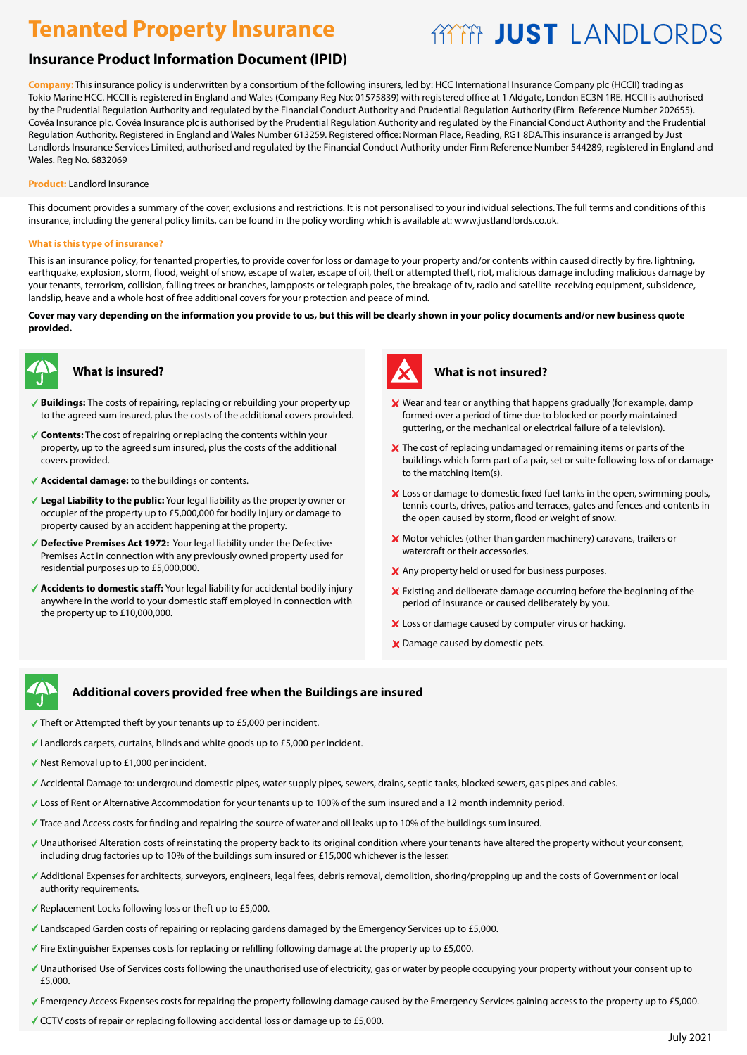# **Tenanted Property Insurance**

# **AYYYY JUST LANDLORDS**

## **Insurance Product Information Document (IPID)**

**Company:** This insurance policy is underwritten by a consortium of the following insurers, led by: HCC International Insurance Company plc (HCCII) trading as Tokio Marine HCC. HCCII is registered in England and Wales (Company Reg No: 01575839) with registered office at 1 Aldgate, London EC3N 1RE. HCCII is authorised by the Prudential Regulation Authority and regulated by the Financial Conduct Authority and Prudential Regulation Authority (Firm Reference Number 202655). Covéa Insurance plc. Covéa Insurance plc is authorised by the Prudential Regulation Authority and regulated by the Financial Conduct Authority and the Prudential Regulation Authority. Registered in England and Wales Number 613259. Registered office: Norman Place, Reading, RG1 8DA.This insurance is arranged by Just Landlords Insurance Services Limited, authorised and regulated by the Financial Conduct Authority under Firm Reference Number 544289, registered in England and Wales. Reg No. 6832069

#### **Product:** Landlord Insurance

This document provides a summary of the cover, exclusions and restrictions. It is not personalised to your individual selections. The full terms and conditions of this insurance, including the general policy limits, can be found in the policy wording which is available at: www.justlandlords.co.uk.

#### **What is this type of insurance?**

This is an insurance policy, for tenanted properties, to provide cover for loss or damage to your property and/or contents within caused directly by fire, lightning, earthquake, explosion, storm, flood, weight of snow, escape of water, escape of oil, theft or attempted theft, riot, malicious damage including malicious damage by your tenants, terrorism, collision, falling trees or branches, lampposts or telegraph poles, the breakage of tv, radio and satellite receiving equipment, subsidence, landslip, heave and a whole host of free additional covers for your protection and peace of mind.

#### **Cover may vary depending on the information you provide to us, but this will be clearly shown in your policy documents and/or new business quote provided.**



#### **What is insured?**

- **Buildings:** The costs of repairing, replacing or rebuilding your property up to the agreed sum insured, plus the costs of the additional covers provided.
- **Contents:** The cost of repairing or replacing the contents within your property, up to the agreed sum insured, plus the costs of the additional covers provided.
- **Accidental damage:** to the buildings or contents.
- **Legal Liability to the public:** Your legal liability as the property owner or occupier of the property up to £5,000,000 for bodily injury or damage to property caused by an accident happening at the property.
- ◆ Defective Premises Act 1972: Your legal liability under the Defective Premises Act in connection with any previously owned property used for residential purposes up to £5,000,000.
- **Accidents to domestic staff:** Your legal liability for accidental bodily injury anywhere in the world to your domestic staff employed in connection with the property up to £10,000,000.



#### **What is not insured?**

- Wear and tear or anything that happens gradually (for example, damp formed over a period of time due to blocked or poorly maintained guttering, or the mechanical or electrical failure of a television).
- X The cost of replacing undamaged or remaining items or parts of the buildings which form part of a pair, set or suite following loss of or damage to the matching item(s).
- X Loss or damage to domestic fixed fuel tanks in the open, swimming pools, tennis courts, drives, patios and terraces, gates and fences and contents in the open caused by storm, flood or weight of snow.
- X Motor vehicles (other than garden machinery) caravans, trailers or watercraft or their accessories.
- X Any property held or used for business purposes.
- Existing and deliberate damage occurring before the beginning of the period of insurance or caused deliberately by you.
- X Loss or damage caused by computer virus or hacking.
- X Damage caused by domestic pets.

#### **Additional covers provided free when the Buildings are insured covers provided free when the Buildings are insured**

- Theft or Attempted theft by your tenants up to £5,000 per incident.
- Landlords carpets, curtains, blinds and white goods up to £5,000 per incident. Landlords and white goods up per incident. Nest Removal up to per incident.
- $\checkmark$  Nest Removal up to £1,000 per incident.
- Accidental Damage to: underground domestic pipes, water supply pipes, sewers, drains, septic tanks, blocked sewers, gas pipes and cables. Accidental Damage to: underground domestic pipes, water supply pipes, sewers, drains, septic tanks, blocked sewers, gas pipes and cables.<br>Loss of Rent or Alternative Accommodation for your tenants up to 100% of the sum ins
- 
- Trace and Access costs for finding and repairing the source of water and oil leaks up to 10% of the buildings sum insured.
- Unauthorised Alteration costs of reinstating the property back to its original condition where your tenants have altered the property without your consent, including drug factories up to 10% of the buildings sum insured or £15,000 whichever is the lesser.
- .<br>Additional Expenses for architects, surveyors, engineers, legal fees, debris removal, demolition, shoring/propping up and the costs of Government or local authority requirements. The ESS of ESS or the ESS or the ESS of the ESS of the ESS of the ESS of the ESS of the
- Replacement Locks following loss or theft up to £5,000. The Emergency Services up to £5,000.
- Landscaped Garden costs of repairing or replacing gardens damaged by the Emergency Services up to £5,000.
- Fire Extinguisher Expenses costs for replacing or refilling following damage at the property up to £5,000.
- Unauthorised Use of Services costs following the unauthorised use of electricity, gas or water by people occupying your property without your consent up to Buyers Benefit anyone buying your property will have the benefit of the buildings section until the sale completes up to the buildings sum insured. £5,000.
- Emergency Access Expenses costs for repairing the property following damage caused by the Emergency Services gaining access to the property up to £5,000
- CCTV costs of repair or replacing following accidental loss or damage up to £5,000.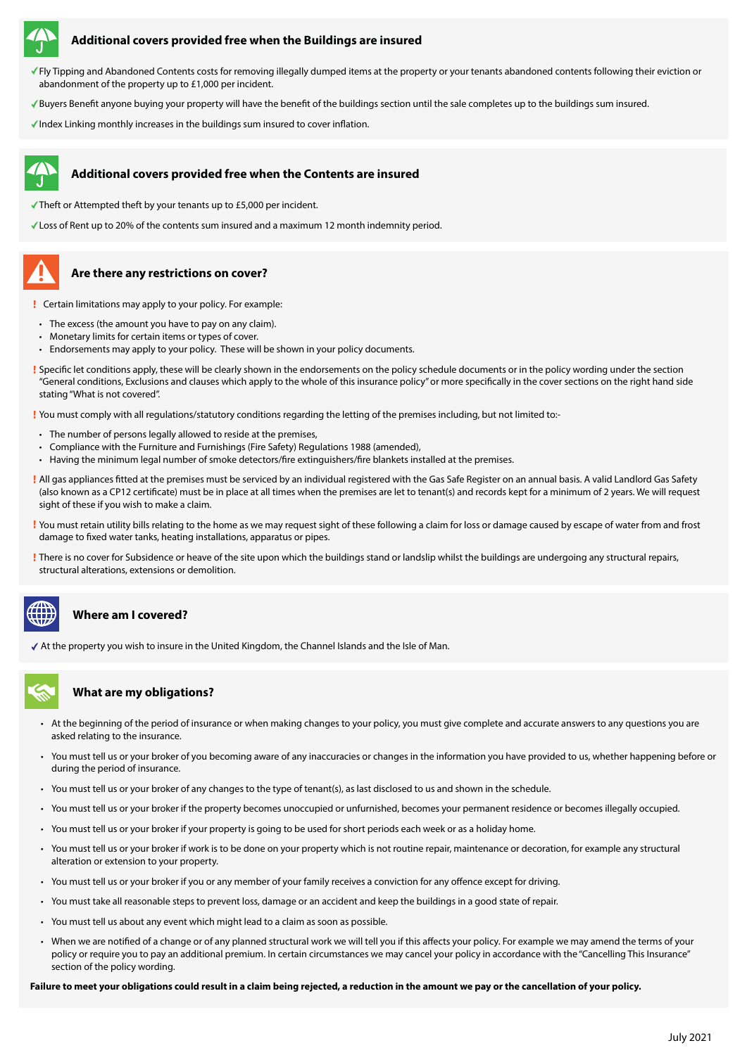

#### **Additional covers provided free when the Buildings are insured**

- Fly Tipping and Abandoned Contents costs for removing illegally dumped items at the property or your tenants abandoned contents following their eviction or abandonment of the property up to £1,000 per incident.
- Buyers Benefit anyone buying your property will have the benefit of the buildings section until the sale completes up to the buildings sum insured.
- $\checkmark$  Index Linking monthly increases in the buildings sum insured to cover inflation.



- Theft or Attempted theft by your tenants up to  $£5,000$  per incident.
- Loss of Rent up to 20% of the contents sum insured and a maximum 12 month indemnity period.

# **Are there any restrictions on cover?**

- Certain limitations may apply to your policy. For example:
- The excess (the amount you have to pay on any claim).
- Monetary limits for certain items or types of cover.
- Endorsements may apply to your policy. These will be shown in your policy documents.
- Specific let conditions apply, these will be clearly shown in the endorsements on the policy schedule documents or in the policy wording under the section "General conditions, Exclusions and clauses which apply to the whole of this insurance policy" or more specifically in the cover sections on the right hand side stating "What is not covered".

You must comply with all regulations/statutory conditions regarding the letting of the premises including, but not limited to:-

- The number of persons legally allowed to reside at the premises,
- Compliance with the Furniture and Furnishings (Fire Safety) Regulations 1988 (amended),
- Having the minimum legal number of smoke detectors/fire extinguishers/fire blankets installed at the premises.
- All gas appliances fitted at the premises must be serviced by an individual registered with the Gas Safe Register on an annual basis. A valid Landlord Gas Safety (also known as a CP12 certificate) must be in place at all times when the premises are let to tenant(s) and records kept for a minimum of 2 years. We will request sight of these if you wish to make a claim.
- You must retain utility bills relating to the home as we may request sight of these following a claim for loss or damage caused by escape of water from and frost damage to fixed water tanks, heating installations, apparatus or pipes.
- There is no cover for Subsidence or heave of the site upon which the buildings stand or landslip whilst the buildings are undergoing any structural repairs, structural alterations, extensions or demolition.

## **Where am I covered?**

At the property you wish to insure in the United Kingdom, the Channel Islands and the Isle of Man.

### **What are my obligations?**

- At the beginning of the period of insurance or when making changes to your policy, you must give complete and accurate answers to any questions you are asked relating to the insurance.
- You must tell us or your broker of you becoming aware of any inaccuracies or changes in the information you have provided to us, whether happening before or during the period of insurance.
- You must tell us or your broker of any changes to the type of tenant(s), as last disclosed to us and shown in the schedule.
- You must tell us or your broker if the property becomes unoccupied or unfurnished, becomes your permanent residence or becomes illegally occupied.
- You must tell us or your broker if your property is going to be used for short periods each week or as a holiday home.
- You must tell us or your broker if work is to be done on your property which is not routine repair, maintenance or decoration, for example any structural alteration or extension to your property.
- You must tell us or your broker if you or any member of your family receives a conviction for any offence except for driving.
- You must take all reasonable steps to prevent loss, damage or an accident and keep the buildings in a good state of repair.
- You must tell us about any event which might lead to a claim as soon as possible.
- When we are notified of a change or of any planned structural work we will tell you if this affects your policy. For example we may amend the terms of your policy or require you to pay an additional premium. In certain circumstances we may cancel your policy in accordance with the "Cancelling This Insurance" section of the policy wording.

**Failure to meet your obligations could result in a claim being rejected, a reduction in the amount we pay or the cancellation of your policy.**